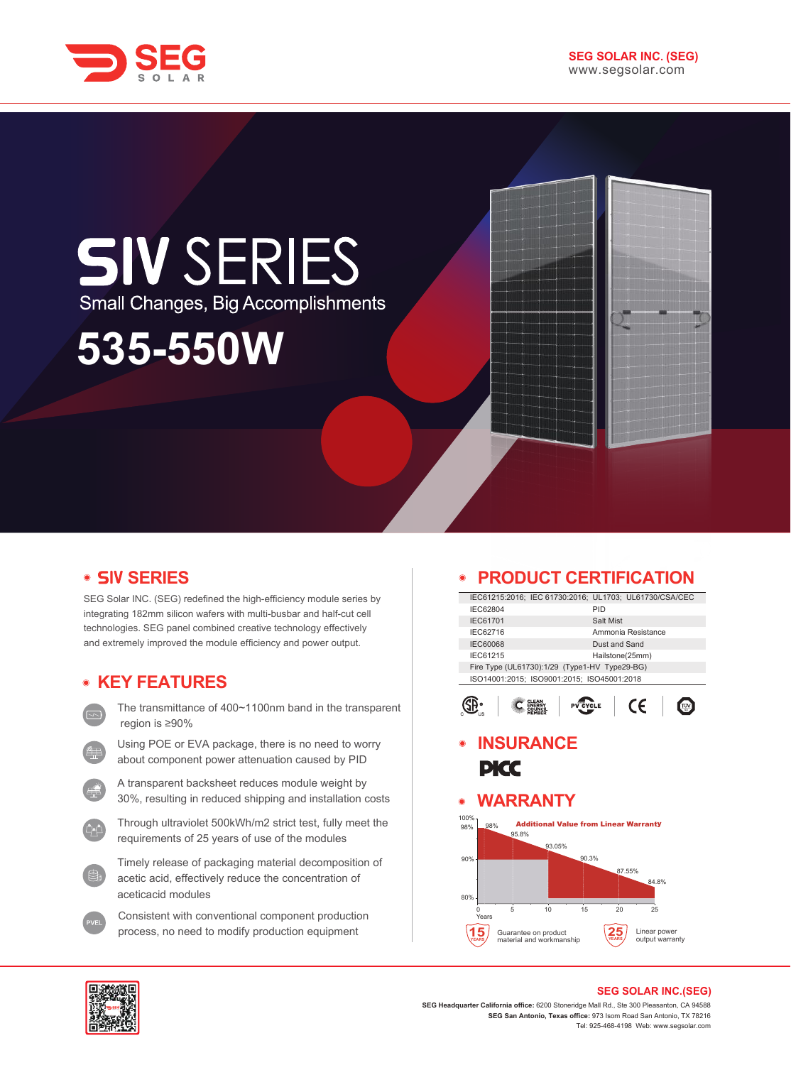



# **SIV SERIES** Small Changes, Big Accomplishments

**535-550W**

# **• SIV SERIES**

SEG Solar INC. (SEG) redefined the high-efficiency module series by integrating 182mm silicon wafers with multi-busbar and half-cut cell technologies. SEG panel combined creative technology effectively and extremely improved the module efficiency and power output.

# **KEY FEATURES**

- The transmittance of 400~1100nm band in the transparent region is ≥90%
- Using POE or EVA package, there is no need to worry about component power attenuation caused by PID
- A transparent backsheet reduces module weight by 30%, resulting in reduced shipping and installation costs
- Through ultraviolet 500kWh/m2 strict test, fully meet the requirements of 25 years of use of the modules
- Timely release of packaging material decomposition of acetic acid, effectively reduce the concentration of aceticacid modules
- Consistent with conventional component production process, no need to modify production equipment

#### **PRODUCT CERTIFICATION**  $\bullet$

| IEC61215:2016; IEC 61730:2016; UL1703; UL61730/CSA/CEC |                 |                    |  |
|--------------------------------------------------------|-----------------|--------------------|--|
| IEC62804                                               | PID             |                    |  |
| <b>IEC61701</b>                                        | Salt Mist       |                    |  |
| IFC62716                                               |                 | Ammonia Resistance |  |
| <b>IEC60068</b>                                        | Dust and Sand   |                    |  |
| IEC61215                                               | Hailstone(25mm) |                    |  |
| Fire Type (UL61730):1/29 (Type1-HV Type29-BG)          |                 |                    |  |
| ISO14001:2015; ISO9001:2015; ISO45001:2018             |                 |                    |  |
|                                                        |                 |                    |  |
|                                                        |                 |                    |  |
|                                                        |                 |                    |  |

#### $\left|\bigoplus_{\alpha=1}^{\infty} a_{\alpha} \right|$   $\left|\bigoplus_{\alpha=1}^{\infty} a_{\alpha} \right|$   $\left|\bigoplus_{\alpha=1}^{\infty} a_{\alpha} \right|$  $\epsilon$  |

# **INSURANCE PICC**

#### **WARRANTY**  $\bullet$





#### **SEG SOLAR INC.(SEG)**

**SEG Headquarter California office:** 6200 Stoneridge Mall Rd., Ste 300 Pleasanton, CA 94588 **SEG San Antonio, Texas office:** 973 Isom Road San Antonio, TX 78216 Tel: 925-468-4198 Web: www.segsolar.com